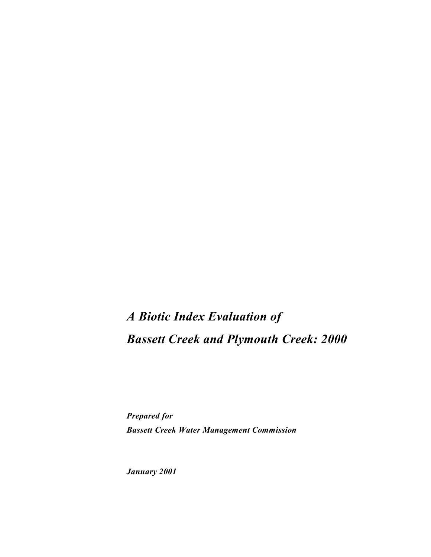# *A Biotic Index Evaluation of Bassett Creek and Plymouth Creek: 2000*

*Prepared for Bassett Creek Water Management Commission*

*January 2001*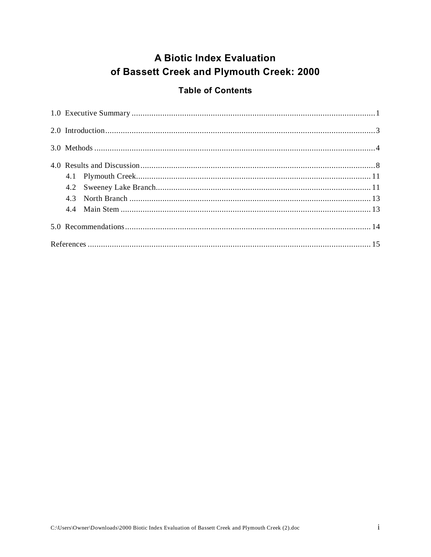## **A Biotic Index Evaluation** of Bassett Creek and Plymouth Creek: 2000

#### **Table of Contents**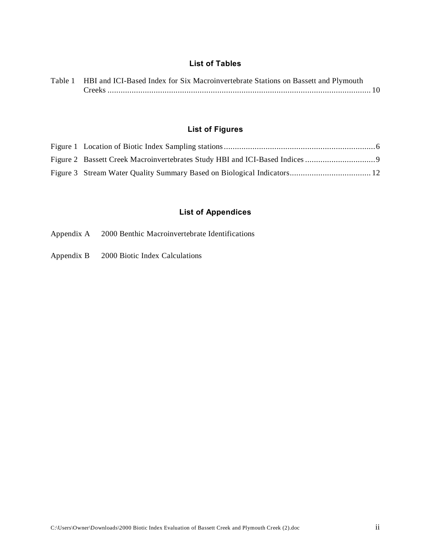#### **List of Tables**

| Table 1 HBI and ICI-Based Index for Six Macroinvertebrate Stations on Bassett and Plymouth |  |
|--------------------------------------------------------------------------------------------|--|
|                                                                                            |  |

#### **List of Figures**

#### **List of Appendices**

- Appendix A 2000 Benthic Macroinvertebrate Identifications
- Appendix B 2000 Biotic Index Calculations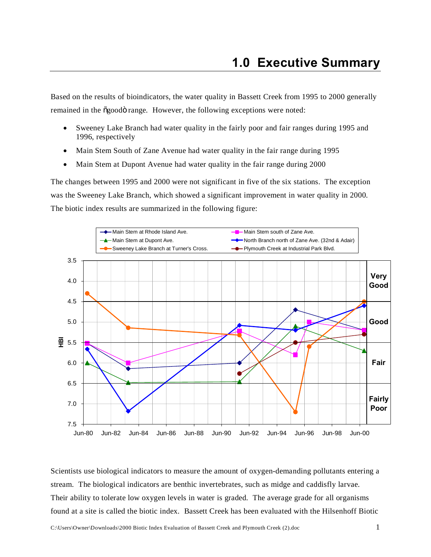Based on the results of bioindicators, the water quality in Bassett Creek from 1995 to 2000 generally remained in the õgoodö range. However, the following exceptions were noted:

- Sweeney Lake Branch had water quality in the fairly poor and fair ranges during 1995 and 1996, respectively
- Main Stem South of Zane Avenue had water quality in the fair range during 1995
- Main Stem at Dupont Avenue had water quality in the fair range during 2000

The changes between 1995 and 2000 were not significant in five of the six stations. The exception was the Sweeney Lake Branch, which showed a significant improvement in water quality in 2000. The biotic index results are summarized in the following figure:



Scientists use biological indicators to measure the amount of oxygen-demanding pollutants entering a stream. The biological indicators are benthic invertebrates, such as midge and caddisfly larvae. Their ability to tolerate low oxygen levels in water is graded. The average grade for all organisms found at a site is called the biotic index. Bassett Creek has been evaluated with the Hilsenhoff Biotic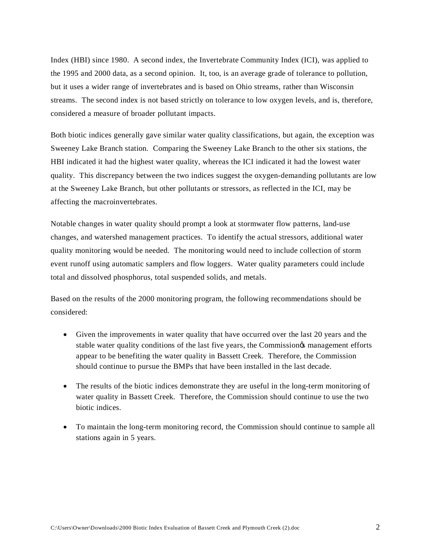Index (HBI) since 1980. A second index, the Invertebrate Community Index (ICI), was applied to the 1995 and 2000 data, as a second opinion. It, too, is an average grade of tolerance to pollution, but it uses a wider range of invertebrates and is based on Ohio streams, rather than Wisconsin streams. The second index is not based strictly on tolerance to low oxygen levels, and is, therefore, considered a measure of broader pollutant impacts.

Both biotic indices generally gave similar water quality classifications, but again, the exception was Sweeney Lake Branch station. Comparing the Sweeney Lake Branch to the other six stations, the HBI indicated it had the highest water quality, whereas the ICI indicated it had the lowest water quality. This discrepancy between the two indices suggest the oxygen-demanding pollutants are low at the Sweeney Lake Branch, but other pollutants or stressors, as reflected in the ICI, may be affecting the macroinvertebrates.

Notable changes in water quality should prompt a look at stormwater flow patterns, land-use changes, and watershed management practices. To identify the actual stressors, additional water quality monitoring would be needed. The monitoring would need to include collection of storm event runoff using automatic samplers and flow loggers. Water quality parameters could include total and dissolved phosphorus, total suspended solids, and metals.

Based on the results of the 2000 monitoring program, the following recommendations should be considered:

- Given the improvements in water quality that have occurred over the last 20 years and the stable water quality conditions of the last five years, the Commission is management efforts appear to be benefiting the water quality in Bassett Creek. Therefore, the Commission should continue to pursue the BMPs that have been installed in the last decade.
- The results of the biotic indices demonstrate they are useful in the long-term monitoring of water quality in Bassett Creek. Therefore, the Commission should continue to use the two biotic indices.
- · To maintain the long-term monitoring record, the Commission should continue to sample all stations again in 5 years.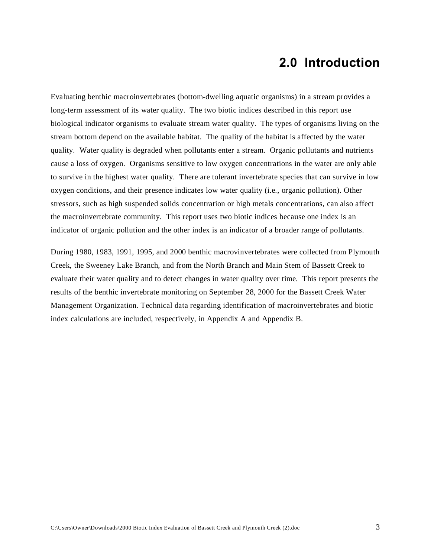Evaluating benthic macroinvertebrates (bottom-dwelling aquatic organisms) in a stream provides a long-term assessment of its water quality. The two biotic indices described in this report use biological indicator organisms to evaluate stream water quality. The types of organisms living on the stream bottom depend on the available habitat. The quality of the habitat is affected by the water quality. Water quality is degraded when pollutants enter a stream. Organic pollutants and nutrients cause a loss of oxygen. Organisms sensitive to low oxygen concentrations in the water are only able to survive in the highest water quality. There are tolerant invertebrate species that can survive in low oxygen conditions, and their presence indicates low water quality (i.e., organic pollution). Other stressors, such as high suspended solids concentration or high metals concentrations, can also affect the macroinvertebrate community. This report uses two biotic indices because one index is an indicator of organic pollution and the other index is an indicator of a broader range of pollutants.

During 1980, 1983, 1991, 1995, and 2000 benthic macrovinvertebrates were collected from Plymouth Creek, the Sweeney Lake Branch, and from the North Branch and Main Stem of Bassett Creek to evaluate their water quality and to detect changes in water quality over time. This report presents the results of the benthic invertebrate monitoring on September 28, 2000 for the Bassett Creek Water Management Organization. Technical data regarding identification of macroinvertebrates and biotic index calculations are included, respectively, in Appendix A and Appendix B.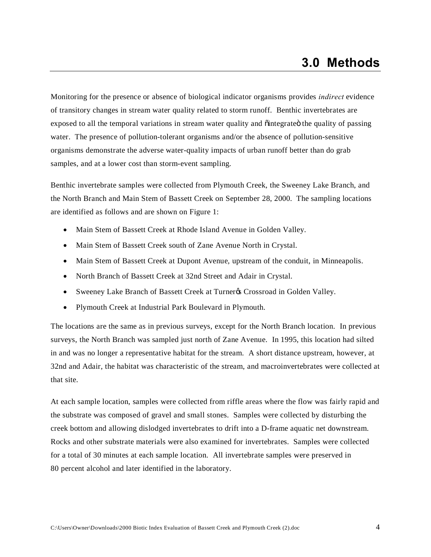Monitoring for the presence or absence of biological indicator organisms provides *indirect* evidence of transitory changes in stream water quality related to storm runoff. Benthic invertebrates are exposed to all the temporal variations in stream water quality and  $\ddot{o}$  integrate $\ddot{o}$  the quality of passing water. The presence of pollution-tolerant organisms and/or the absence of pollution-sensitive organisms demonstrate the adverse water-quality impacts of urban runoff better than do grab samples, and at a lower cost than storm-event sampling.

Benthic invertebrate samples were collected from Plymouth Creek, the Sweeney Lake Branch, and the North Branch and Main Stem of Bassett Creek on September 28, 2000. The sampling locations are identified as follows and are shown on Figure 1:

- · Main Stem of Bassett Creek at Rhode Island Avenue in Golden Valley.
- Main Stem of Bassett Creek south of Zane Avenue North in Crystal.
- Main Stem of Bassett Creek at Dupont Avenue, upstream of the conduit, in Minneapolis.
- North Branch of Bassett Creek at 32nd Street and Adair in Crystal.
- Sweeney Lake Branch of Bassett Creek at Turner% Crossroad in Golden Valley.
- · Plymouth Creek at Industrial Park Boulevard in Plymouth.

The locations are the same as in previous surveys, except for the North Branch location. In previous surveys, the North Branch was sampled just north of Zane Avenue. In 1995, this location had silted in and was no longer a representative habitat for the stream. A short distance upstream, however, at 32nd and Adair, the habitat was characteristic of the stream, and macroinvertebrates were collected at that site.

At each sample location, samples were collected from riffle areas where the flow was fairly rapid and the substrate was composed of gravel and small stones. Samples were collected by disturbing the creek bottom and allowing dislodged invertebrates to drift into a D-frame aquatic net downstream. Rocks and other substrate materials were also examined for invertebrates. Samples were collected for a total of 30 minutes at each sample location. All invertebrate samples were preserved in 80 percent alcohol and later identified in the laboratory.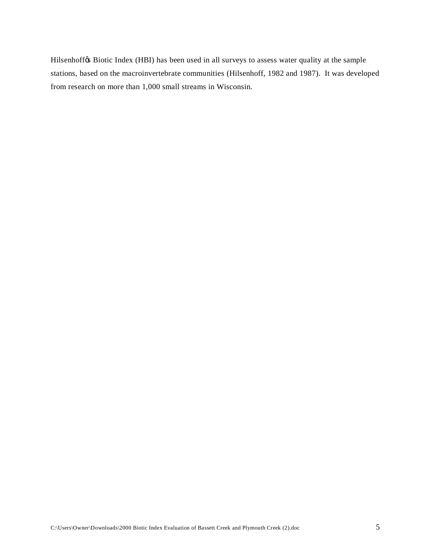Hilsenhoff $\&$  Biotic Index (HBI) has been used in all surveys to assess water quality at the sample stations, based on the macroinvertebrate communities (Hilsenhoff, 1982 and 1987). It was developed from research on more than 1,000 small streams in Wisconsin.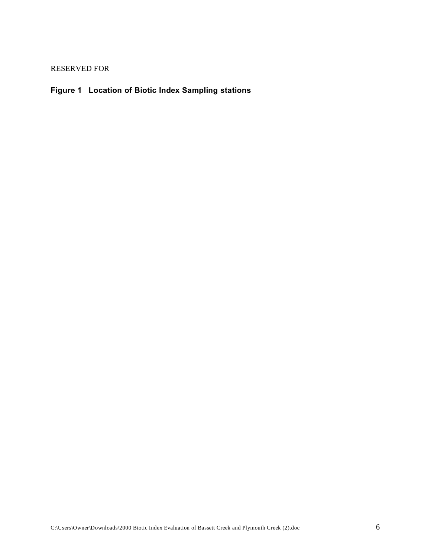RESERVED FOR

#### **Figure 1 Location of Biotic Index Sampling stations**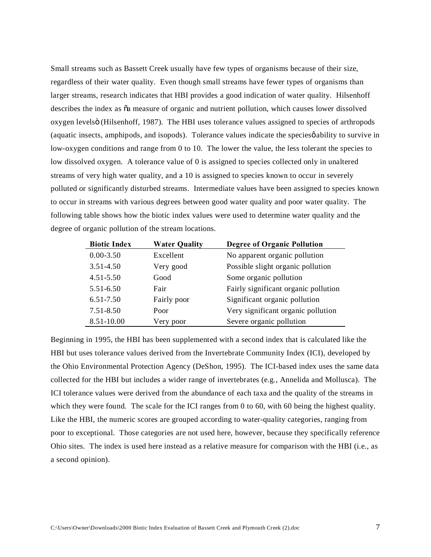Small streams such as Bassett Creek usually have few types of organisms because of their size, regardless of their water quality. Even though small streams have fewer types of organisms than larger streams, research indicates that HBI provides a good indication of water quality. Hilsenhoff describes the index as  $\tilde{o}a$  measure of organic and nutrient pollution, which causes lower dissolved oxygen levels" (Hilsenhoff, 1987). The HBI uses tolerance values assigned to species of arthropods (aquatic insects, amphipods, and isopods). Tolerance values indicate the species  $\phi$  ability to survive in low-oxygen conditions and range from 0 to 10. The lower the value, the less tolerant the species to low dissolved oxygen. A tolerance value of 0 is assigned to species collected only in unaltered streams of very high water quality, and a 10 is assigned to species known to occur in severely polluted or significantly disturbed streams. Intermediate values have been assigned to species known to occur in streams with various degrees between good water quality and poor water quality. The following table shows how the biotic index values were used to determine water quality and the degree of organic pollution of the stream locations.

| <b>Biotic Index</b> | <b>Water Quality</b> | <b>Degree of Organic Pollution</b>   |
|---------------------|----------------------|--------------------------------------|
| $0.00 - 3.50$       | Excellent            | No apparent organic pollution        |
| $3.51 - 4.50$       | Very good            | Possible slight organic pollution    |
| $4.51 - 5.50$       | Good                 | Some organic pollution               |
| $5.51 - 6.50$       | Fair                 | Fairly significant organic pollution |
| 6.51-7.50           | Fairly poor          | Significant organic pollution        |
| 7.51-8.50           | Poor                 | Very significant organic pollution   |
| 8.51-10.00          | Very poor            | Severe organic pollution             |

Beginning in 1995, the HBI has been supplemented with a second index that is calculated like the HBI but uses tolerance values derived from the Invertebrate Community Index (ICI), developed by the Ohio Environmental Protection Agency (DeShon, 1995). The ICI-based index uses the same data collected for the HBI but includes a wider range of invertebrates (e.g., Annelida and Mollusca). The ICI tolerance values were derived from the abundance of each taxa and the quality of the streams in which they were found. The scale for the ICI ranges from 0 to 60, with 60 being the highest quality. Like the HBI, the numeric scores are grouped according to water-quality categories, ranging from poor to exceptional. Those categories are not used here, however, because they specifically reference Ohio sites. The index is used here instead as a relative measure for comparison with the HBI (i.e., as a second opinion).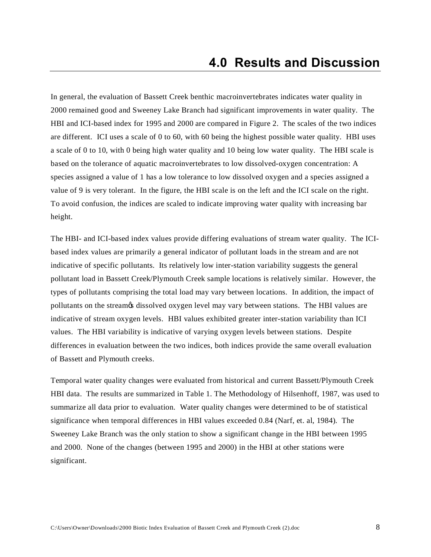In general, the evaluation of Bassett Creek benthic macroinvertebrates indicates water quality in 2000 remained good and Sweeney Lake Branch had significant improvements in water quality. The HBI and ICI-based index for 1995 and 2000 are compared in Figure 2. The scales of the two indices are different. ICI uses a scale of 0 to 60, with 60 being the highest possible water quality. HBI uses a scale of 0 to 10, with 0 being high water quality and 10 being low water quality. The HBI scale is based on the tolerance of aquatic macroinvertebrates to low dissolved-oxygen concentration: A species assigned a value of 1 has a low tolerance to low dissolved oxygen and a species assigned a value of 9 is very tolerant. In the figure, the HBI scale is on the left and the ICI scale on the right. To avoid confusion, the indices are scaled to indicate improving water quality with increasing bar height.

The HBI- and ICI-based index values provide differing evaluations of stream water quality. The ICIbased index values are primarily a general indicator of pollutant loads in the stream and are not indicative of specific pollutants. Its relatively low inter-station variability suggests the general pollutant load in Bassett Creek/Plymouth Creek sample locations is relatively similar. However, the types of pollutants comprising the total load may vary between locations. In addition, the impact of pollutants on the streamos dissolved oxygen level may vary between stations. The HBI values are indicative of stream oxygen levels. HBI values exhibited greater inter-station variability than ICI values. The HBI variability is indicative of varying oxygen levels between stations. Despite differences in evaluation between the two indices, both indices provide the same overall evaluation of Bassett and Plymouth creeks.

Temporal water quality changes were evaluated from historical and current Bassett/Plymouth Creek HBI data. The results are summarized in Table 1. The Methodology of Hilsenhoff, 1987, was used to summarize all data prior to evaluation. Water quality changes were determined to be of statistical significance when temporal differences in HBI values exceeded 0.84 (Narf, et. al, 1984). The Sweeney Lake Branch was the only station to show a significant change in the HBI between 1995 and 2000. None of the changes (between 1995 and 2000) in the HBI at other stations were significant.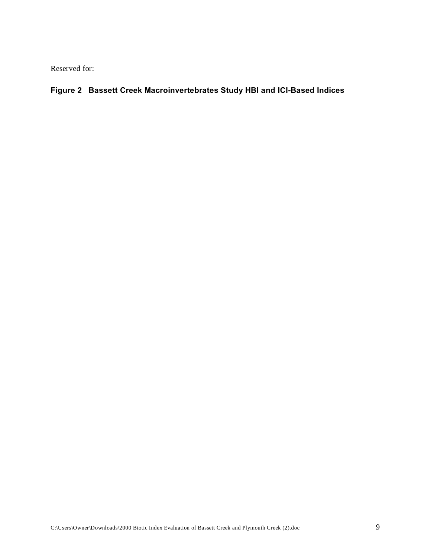Reserved for:

#### **Figure 2 Bassett Creek Macroinvertebrates Study HBI and ICI-Based Indices**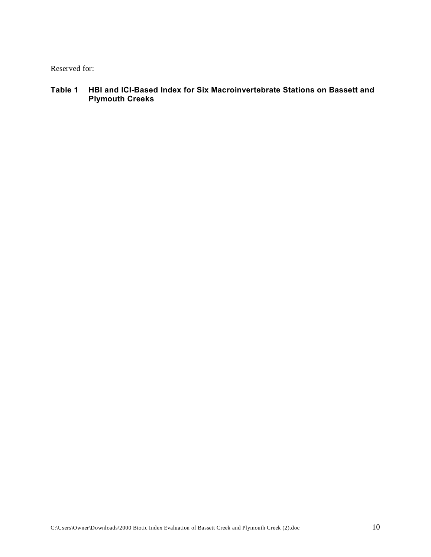Reserved for:

**Table 1 HBI and ICI-Based Index for Six Macroinvertebrate Stations on Bassett and Plymouth Creeks**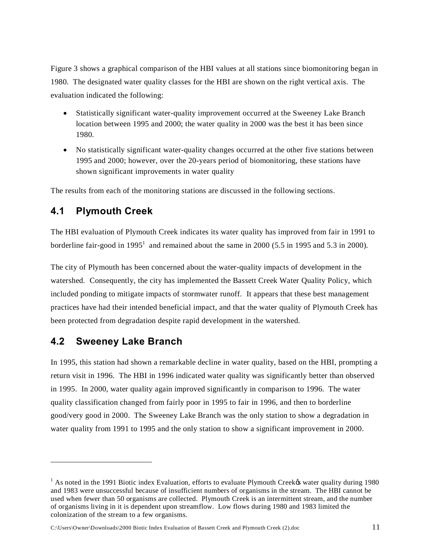Figure 3 shows a graphical comparison of the HBI values at all stations since biomonitoring began in 1980. The designated water quality classes for the HBI are shown on the right vertical axis. The evaluation indicated the following:

- Statistically significant water-quality improvement occurred at the Sweeney Lake Branch location between 1995 and 2000; the water quality in 2000 was the best it has been since 1980.
- No statistically significant water-quality changes occurred at the other five stations between 1995 and 2000; however, over the 20-years period of biomonitoring, these stations have shown significant improvements in water quality

The results from each of the monitoring stations are discussed in the following sections.

#### **4.1 Plymouth Creek**

The HBI evaluation of Plymouth Creek indicates its water quality has improved from fair in 1991 to borderline fair-good in  $1995<sup>1</sup>$  and remained about the same in 2000 (5.5 in 1995 and 5.3 in 2000).

The city of Plymouth has been concerned about the water-quality impacts of development in the watershed. Consequently, the city has implemented the Bassett Creek Water Quality Policy, which included ponding to mitigate impacts of stormwater runoff. It appears that these best management practices have had their intended beneficial impact, and that the water quality of Plymouth Creek has been protected from degradation despite rapid development in the watershed.

### **4.2 Sweeney Lake Branch**

l

In 1995, this station had shown a remarkable decline in water quality, based on the HBI, prompting a return visit in 1996. The HBI in 1996 indicated water quality was significantly better than observed in 1995. In 2000, water quality again improved significantly in comparison to 1996. The water quality classification changed from fairly poor in 1995 to fair in 1996, and then to borderline good/very good in 2000. The Sweeney Lake Branch was the only station to show a degradation in water quality from 1991 to 1995 and the only station to show a significant improvement in 2000.

C:\Users\Owner\Downloads\2000 Biotic Index Evaluation of Bassett Creek and Plymouth Creek (2).doc 11

<sup>&</sup>lt;sup>1</sup> As noted in the 1991 Biotic index Evaluation, efforts to evaluate Plymouth Creek $\alpha$  water quality during 1980 and 1983 were unsuccessful because of insufficient numbers of organisms in the stream. The HBI cannot be used when fewer than 50 organisms are collected. Plymouth Creek is an intermittent stream, and the number of organisms living in it is dependent upon streamflow. Low flows during 1980 and 1983 limited the colonization of the stream to a few organisms.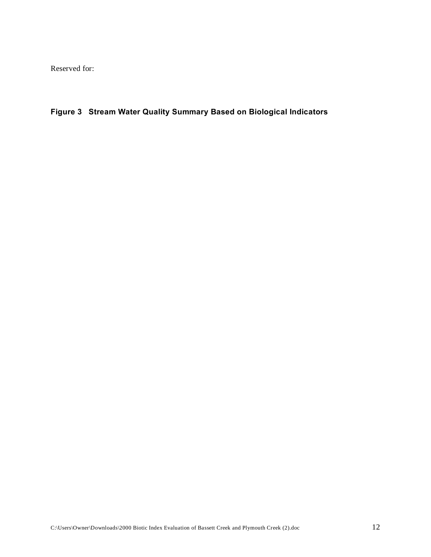Reserved for:

**Figure 3 Stream Water Quality Summary Based on Biological Indicators**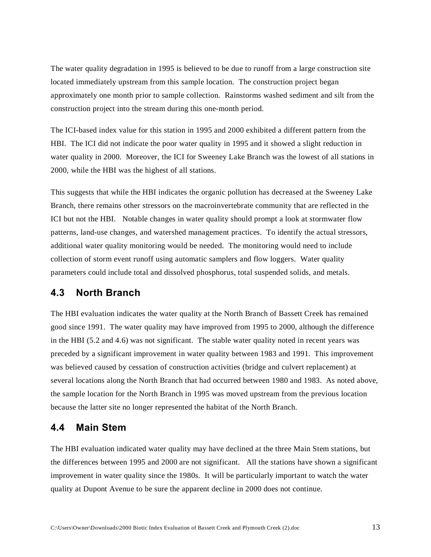The water quality degradation in 1995 is believed to be due to runoff from a large construction site located immediately upstream from this sample location. The construction project began approximately one month prior to sample collection. Rainstorms washed sediment and silt from the construction project into the stream during this one-month period.

The ICI-based index value for this station in 1995 and 2000 exhibited a different pattern from the HBI. The ICI did not indicate the poor water quality in 1995 and it showed a slight reduction in water quality in 2000. Moreover, the ICI for Sweeney Lake Branch was the lowest of all stations in 2000, while the HBI was the highest of all stations.

This suggests that while the HBI indicates the organic pollution has decreased at the Sweeney Lake Branch, there remains other stressors on the macroinvertebrate community that are reflected in the ICI but not the HBI. Notable changes in water quality should prompt a look at stormwater flow patterns, land-use changes, and watershed management practices. To identify the actual stressors, additional water quality monitoring would be needed. The monitoring would need to include collection of storm event runoff using automatic samplers and flow loggers. Water quality parameters could include total and dissolved phosphorus, total suspended solids, and metals.

#### **4.3 North Branch**

The HBI evaluation indicates the water quality at the North Branch of Bassett Creek has remained good since 1991. The water quality may have improved from 1995 to 2000, although the difference in the HBI (5.2 and 4.6) was not significant. The stable water quality noted in recent years was preceded by a significant improvement in water quality between 1983 and 1991. This improvement was believed caused by cessation of construction activities (bridge and culvert replacement) at several locations along the North Branch that had occurred between 1980 and 1983. As noted above, the sample location for the North Branch in 1995 was moved upstream from the previous location because the latter site no longer represented the habitat of the North Branch.

#### **4.4 Main Stem**

The HBI evaluation indicated water quality may have declined at the three Main Stem stations, but the differences between 1995 and 2000 are not significant. All the stations have shown a significant improvement in water quality since the 1980s. It will be particularly important to watch the water quality at Dupont Avenue to be sure the apparent decline in 2000 does not continue.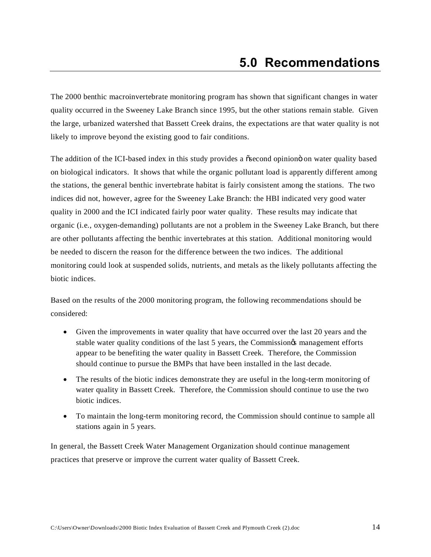The 2000 benthic macroinvertebrate monitoring program has shown that significant changes in water quality occurred in the Sweeney Lake Branch since 1995, but the other stations remain stable. Given the large, urbanized watershed that Bassett Creek drains, the expectations are that water quality is not likely to improve beyond the existing good to fair conditions.

The addition of the ICI-based index in this study provides a osecond opiniono on water quality based on biological indicators. It shows that while the organic pollutant load is apparently different among the stations, the general benthic invertebrate habitat is fairly consistent among the stations. The two indices did not, however, agree for the Sweeney Lake Branch: the HBI indicated very good water quality in 2000 and the ICI indicated fairly poor water quality. These results may indicate that organic (i.e., oxygen-demanding) pollutants are not a problem in the Sweeney Lake Branch, but there are other pollutants affecting the benthic invertebrates at this station. Additional monitoring would be needed to discern the reason for the difference between the two indices. The additional monitoring could look at suspended solids, nutrients, and metals as the likely pollutants affecting the biotic indices.

Based on the results of the 2000 monitoring program, the following recommendations should be considered:

- Given the improvements in water quality that have occurred over the last 20 years and the stable water quality conditions of the last 5 years, the Commission is management efforts appear to be benefiting the water quality in Bassett Creek. Therefore, the Commission should continue to pursue the BMPs that have been installed in the last decade.
- The results of the biotic indices demonstrate they are useful in the long-term monitoring of water quality in Bassett Creek. Therefore, the Commission should continue to use the two biotic indices.
- To maintain the long-term monitoring record, the Commission should continue to sample all stations again in 5 years.

In general, the Bassett Creek Water Management Organization should continue management practices that preserve or improve the current water quality of Bassett Creek.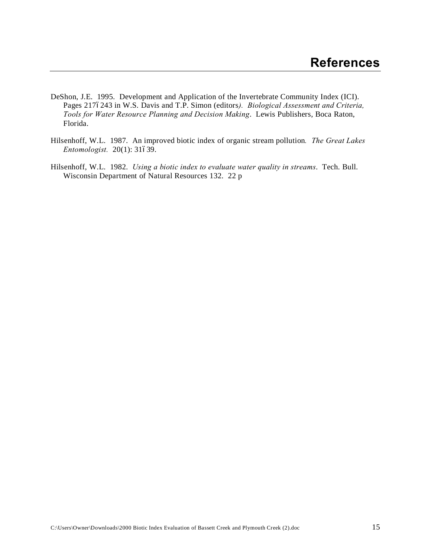- DeShon, J.E. 1995. Development and Application of the Invertebrate Community Index (ICI). Pages 2176243 in W.S. Davis and T.P. Simon (editors). *Biological Assessment and Criteria*, *Tools for Water Resource Planning and Decision Making*. Lewis Publishers, Boca Raton, Florida.
- Hilsenhoff, W.L. 1987. An improved biotic index of organic stream pollution*. The Great Lakes Entomologist.* 20(1): 31–39.
- Hilsenhoff, W.L. 1982. *Using a biotic index to evaluate water quality in streams*. Tech. Bull. Wisconsin Department of Natural Resources 132. 22 p